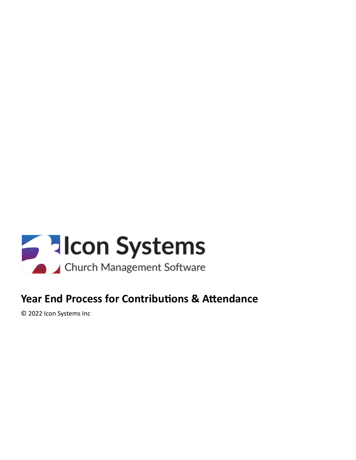

# **Year End Process for Contributions & Attendance**

© 2022 Icon Systems Inc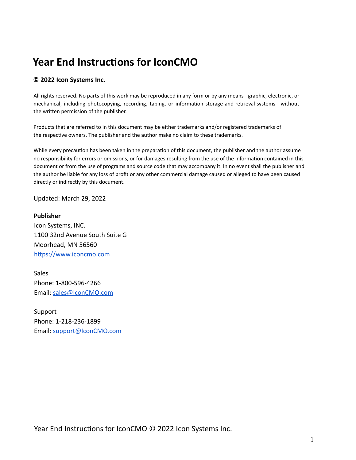# **Year End Instructions for IconCMO**

#### **© 2022 Icon Systems Inc.**

All rights reserved. No parts of this work may be reproduced in any form or by any means - graphic, electronic, or mechanical, including photocopying, recording, taping, or information storage and retrieval systems - without the written permission of the publisher.

Products that are referred to in this document may be either trademarks and/or registered trademarks of the respective owners. The publisher and the author make no claim to these trademarks.

While every precaution has been taken in the preparation of this document, the publisher and the author assume no responsibility for errors or omissions, or for damages resulting from the use of the information contained in this document or from the use of programs and source code that may accompany it. In no event shall the publisher and the author be liable for any loss of profit or any other commercial damage caused or alleged to have been caused directly or indirectly by this document.

Updated: March 29, 2022

**Publisher** Icon Systems, INC. 1100 32nd Avenue South Suite G Moorhead, MN 56560 https://www.iconcmo.com

Sales Phone: 1-800-596-4266 Email: [sales@IconCMO.com](mailto:sales@IconCMO.com)

Support Phone: 1-218-236-1899 Email: [support@IconCMO.com](mailto:support@IconCMO.com)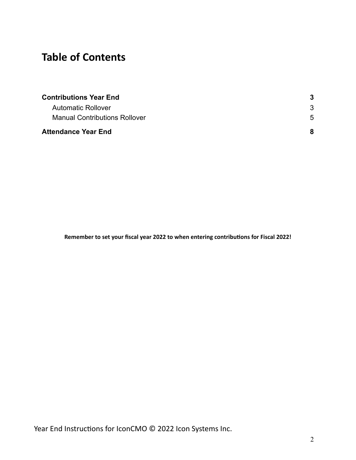# **Table of Contents**

| <b>Contributions Year End</b>        |                |
|--------------------------------------|----------------|
| <b>Automatic Rollover</b>            |                |
| <b>Manual Contributions Rollover</b> | $\overline{5}$ |
| <b>Attendance Year End</b>           | 8              |

**Remember to set your fiscal year 2022 to when entering contribuons for Fiscal 2022!**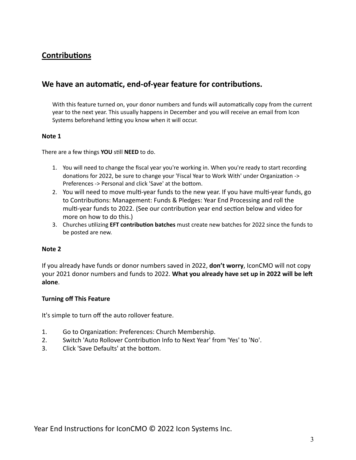# <span id="page-3-0"></span>**Contributions**

## <span id="page-3-1"></span>We have an automatic, end-of-year feature for contributions.

With this feature turned on, your donor numbers and funds will automatically copy from the current year to the next year. This usually happens in December and you will receive an email from Icon Systems beforehand letting you know when it will occur.

#### **Note 1**

There are a few things **YOU** still **NEED** to do.

- 1. You will need to change the fiscal year you're working in. When you're ready to start recording donations for 2022, be sure to change your 'Fiscal Year to Work With' under Organization -> Preferences -> Personal and click 'Save' at the bottom.
- 2. You will need to move multi-year funds to the new year. If you have multi-year funds, go to Contributions: Management: Funds & Pledges: Year End Processing and roll the multi-year funds to 2022. (See our contribution year end section below and [video](http://r20.rs6.net/tn.jsp?t=wfgnl56ab.0.0.perff9dab.0&id=preview&r=3&p=https%3A%2F%2Fyoutu.be%2FhB5VWVPNoAo) for more on how to do this.)
- 3. Churches utilizing **EFT contribution batches** must create new batches for 2022 since the funds to be posted are new.

#### **Note 2**

If you already have funds or donor numbers saved in 2022, **don't worry**, IconCMO will not copy your 2021 donor numbers and funds to 2022. **What you already have set up in 2022 will be le alone**.

#### **Turning off This Feature**

It's simple to turn off the auto rollover feature.

- 1. Go to Organization: Preferences: Church Membership.
- 2. Switch 'Auto Rollover Contribution Info to Next Year' from 'Yes' to 'No'.
- 3. Click 'Save Defaults' at the bottom.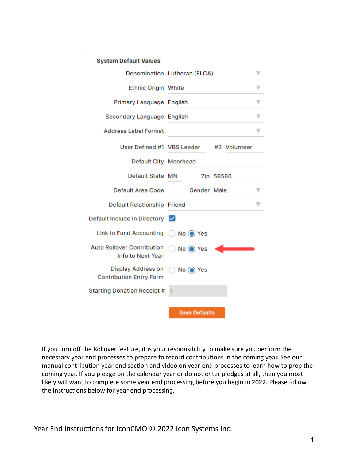| <b>System Default Values</b>                           |                              |
|--------------------------------------------------------|------------------------------|
|                                                        | Denomination Lutheran (ELCA) |
| <b>Ethnic Origin White</b>                             |                              |
| Primary Language English                               |                              |
| Secondary Language English                             |                              |
| <b>Address Label Format</b>                            |                              |
| User Defined #1 VBS Leader                             | #2 Volunteer                 |
| Default City Moorhead                                  |                              |
| Default State MN                                       | Zip 56560                    |
| Default Area Code                                      | Gender Male                  |
| Default Relationship Friend                            |                              |
| Default Include In Directory V                         |                              |
| Link to Fund Accounting ( No O Yes                     |                              |
| <b>Auto Rollover Contribution</b><br>Info to Next Year | No O Yes                     |
| Display Address on<br><b>Contribution Entry Form</b>   | $No$ $\odot$ Yes             |
| <b>Starting Donation Receipt #</b>                     | 1                            |
|                                                        | <b>Save Defaults</b>         |

If you turn off the Rollover feature, it is your responsibility to make sure you perform the necessary year end processes to prepare to record contributions in the coming year. See our manual contribution year end section and [video](http://r20.rs6.net/tn.jsp?t=wfgnl56ab.0.0.perff9dab.0&id=preview&r=3&p=https%3A%2F%2Fyoutu.be%2FhB5VWVPNoAo) on year-end processes to learn how to prep the coming year. If you pledge on the calendar year or do not enter pledges at all, then you most likely will want to complete some year end processing before you begin in 2022. Please follow the instructions below for year end processing.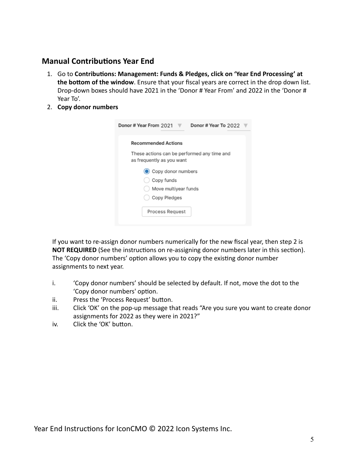# <span id="page-5-0"></span>**Manual Contributions Year End**

- 1. Go to **Contributions: Management: Funds & Pledges, click on 'Year End Processing' at** the bottom of the window. Ensure that your fiscal years are correct in the drop down list. Drop-down boxes should have 2021 in the 'Donor # Year From' and 2022 in the 'Donor # Year To'.
- 2. **Copy donor numbers**

| Donor # Year From 2021<br>Donor # Year To 2022                           |
|--------------------------------------------------------------------------|
| <b>Recommended Actions</b>                                               |
| These actions can be performed any time and<br>as frequently as you want |
| Copy donor numbers                                                       |
| Copy funds                                                               |
| Move multiyear funds                                                     |
| Copy Pledges                                                             |
| Process Request                                                          |
|                                                                          |

If you want to re-assign donor numbers numerically for the new fiscal year, then step 2 is **NOT REQUIRED** (See the instructions on re-assigning donor numbers later in this section). The 'Copy donor numbers' option allows you to copy the existing donor number assignments to next year.

- i. 'Copy donor numbers' should be selected by default. If not, move the dot to the 'Copy donor numbers' option.
- ii. Press the 'Process Request' button.
- iii. Click 'OK' on the pop-up message that reads "Are you sure you want to create donor assignments for 2022 as they were in 2021?"
- iv. Click the 'OK' button.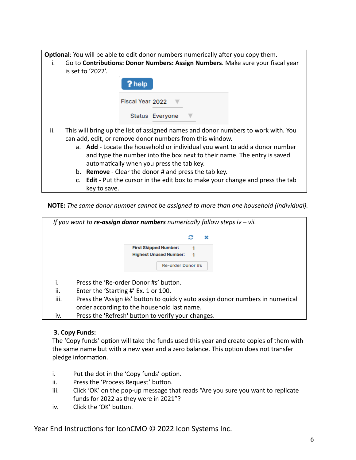**Optional**: You will be able to edit donor numbers numerically after you copy them.

i. Go to **Contributions: Donor Numbers: Assign Numbers**. Make sure your fiscal year is set to '2022'.

| ? help           |                 |  |
|------------------|-----------------|--|
| Fiscal Year 2022 |                 |  |
|                  | Status Everyone |  |

- ii. This will bring up the list of assigned names and donor numbers to work with. You can add, edit, or remove donor numbers from this window.
	- a. **Add** Locate the household or individual you want to add a donor number and type the number into the box next to their name. The entry is saved automatically when you press the tab key.
	- b. **Remove** Clear the donor # and press the tab key.
	- c. **Edit** Put the cursor in the edit box to make your change and press the tab key to save.

**NOTE:** *The same donor number cannot be assigned to more than one household (individual).*



### **3. Copy Funds:**

The 'Copy funds' option will take the funds used this year and create copies of them with the same name but with a new year and a zero balance. This option does not transfer pledge information.

- $i.$  Put the dot in the 'Copy funds' option.
- ii. Press the 'Process Request' button.
- iii. Click 'OK' on the pop-up message that reads "Are you sure you want to replicate funds for 2022 as they were in 2021"?
- iv. Click the 'OK' button.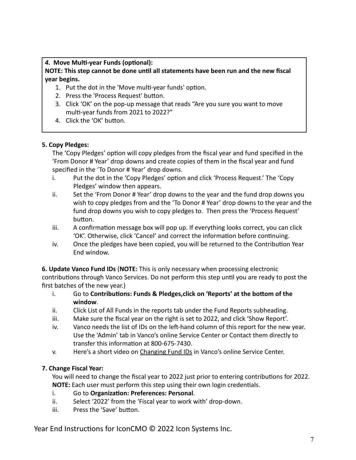## 4. Move Multi-year Funds (optional):

## **NOTE: This step cannot be done until all statements have been run and the new fiscal year begins.**

- 1. Put the dot in the 'Move multi-year funds' option.
- 2. Press the 'Process Request' button.
- 3. Click 'OK' on the pop-up message that reads "Are you sure you want to move multi-year funds from 2021 to 2022?"
- 4. Click the 'OK' button.

### **5. Copy Pledges:**

The 'Copy Pledges' option will copy pledges from the fiscal year and fund specified in the 'From Donor # Year' drop downs and create copies of them in the fiscal year and fund specified in the 'To Donor # Year' drop downs.

- i. Put the dot in the 'Copy Pledges' option and click 'Process Request.' The 'Copy Pledges' window then appears.
- ii. Set the 'From Donor # Year' drop downs to the year and the fund drop downs you wish to copy pledges from and the 'To Donor # Year' drop downs to the year and the fund drop downs you wish to copy pledges to. Then press the 'Process Request' button.
- $iii.$  A confirmation message box will pop up. If everything looks correct, you can click 'OK'. Otherwise, click 'Cancel' and correct the information before continuing.
- iv. Once the pledges have been copied, you will be returned to the Contribution Year End window.

**6. Update Vanco Fund IDs** (**NOTE:** This is only necessary when processing electronic contributions through Vanco Services. Do not perform this step until you are ready to post the first batches of the new year.)

- i. Go to **Contributions: Funds & Pledges, click on 'Reports' at the bottom of the window**.
- ii. Click List of All Funds in the reports tab under the Fund Reports subheading.
- iii. Make sure the fiscal year on the right is set to 2022, and click 'Show Report'.
- iv. Vanco needs the list of IDs on the left-hand column of this report for the new year. Use the 'Admin' tab in Vanco's online Service Center or Contact them directly to transfer this information at 800-675-7430.
- v. Here's a short video on [Changing Fund IDs](https://www.vancopayments.com/training_admin_manage_funds?__hstc=102371230.0574236d8927ccdc8d87be545ac08fed.1559316869637.1564514872249.1564515077688.23&__hssc=102371230.2.1564515077688&__hsfp=830273322) in Vanco's online Service Center.

## **7. Change Fiscal Year:**

You will need to change the fiscal year to 2022 just prior to entering contributions for 2022. **NOTE:** Each user must perform this step using their own login credentials.

- i. Go to Organization: Preferences: Personal.
- ii. Select '2022' from the 'Fiscal year to work with' drop-down.
- iii. Press the 'Save' button.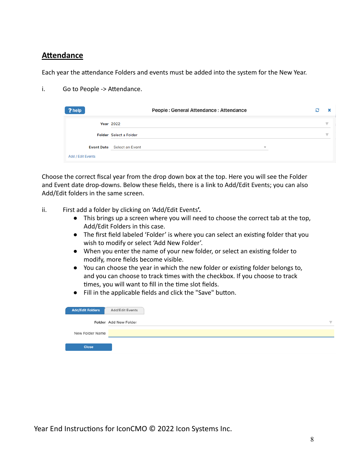## <span id="page-8-0"></span>**Attendance**

Each year the attendance Folders and events must be added into the system for the New Year.

i. Go to People -> Attendance.

| ? help            | People: General Attendance: Attendance                        | c |   |
|-------------------|---------------------------------------------------------------|---|---|
|                   | <b>Year 2022</b>                                              |   |   |
|                   | <b>Folder</b> Select a Folder                                 |   | v |
|                   | <b>Event Date</b> Select an Event<br>$\overline{\phantom{a}}$ |   |   |
| Add / Edit Events |                                                               |   |   |

Choose the correct fiscal year from the drop down box at the top. Here you will see the Folder and Event date drop-downs. Below these fields, there is a link to Add/Edit Events; you can also Add/Edit folders in the same screen.

- ii. First add a folder by clicking on 'Add/Edit Events**'.**
	- This brings up a screen where you will need to choose the correct tab at the top, Add/Edit Folders in this case.
	- The first field labeled 'Folder' is where you can select an existing folder that you wish to modify or select 'Add New Folder'.
	- When you enter the name of your new folder, or select an existing folder to modify, more fields become visible.
	- You can choose the year in which the new folder or existing folder belongs to, and you can choose to track times with the checkbox. If you choose to track times, you will want to fill in the time slot fields.
	- Fill in the applicable fields and click the "Save" button.

| <b>Add/Edit Folders</b> | Add/Edit Events       |  |
|-------------------------|-----------------------|--|
|                         | Folder Add New Folder |  |
| New Folder Name         |                       |  |
| <b>Close</b>            |                       |  |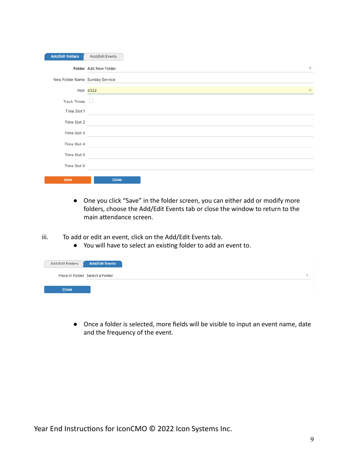| <b>Add/Edit Folders</b>        | Add/Edit Events                                  |
|--------------------------------|--------------------------------------------------|
|                                | Folder Add New Folder<br>$\overline{\mathbf{v}}$ |
| New Folder Name Sunday Service |                                                  |
|                                | Year 2022<br>▼                                   |
| Track Times $\Box$             |                                                  |
| Time Slot 1                    |                                                  |
| Time Slot 2                    |                                                  |
| Time Slot 3                    | the control of the control of the control of     |
| Time Slot 4                    |                                                  |
| Time Slot 5                    |                                                  |
| Time Slot 6                    |                                                  |
| Save                           | <b>Close</b>                                     |

- One you click "Save" in the folder screen, you can either add or modify more folders, choose the Add/Edit Events tab or close the window to return to the main attendance screen.
- iii. To add or edit an event, click on the Add/Edit Events tab.
	- You will have to select an existing folder to add an event to.

| Add/Edit Folders | <b>Add/Edit Events</b>          |
|------------------|---------------------------------|
|                  | Place in Folder Select a Folder |
| <b>Close</b>     |                                 |

● Once a folder is selected, more fields will be visible to input an event name, date and the frequency of the event.